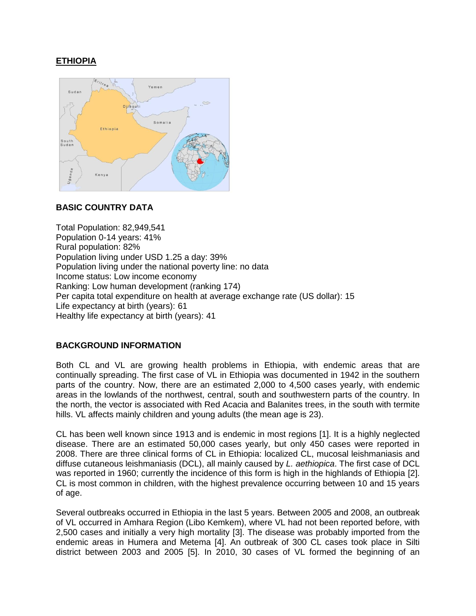# **ETHIOPIA**



## **BASIC COUNTRY DATA**

Total Population: 82,949,541 Population 0-14 years: 41% Rural population: 82% Population living under USD 1.25 a day: 39% Population living under the national poverty line: no data Income status: Low income economy Ranking: Low human development (ranking 174) Per capita total expenditure on health at average exchange rate (US dollar): 15 Life expectancy at birth (years): 61 Healthy life expectancy at birth (years): 41

## **BACKGROUND INFORMATION**

Both CL and VL are growing health problems in Ethiopia, with endemic areas that are continually spreading. The first case of VL in Ethiopia was documented in 1942 in the southern parts of the country. Now, there are an estimated 2,000 to 4,500 cases yearly, with endemic areas in the lowlands of the northwest, central, south and southwestern parts of the country. In the north, the vector is associated with Red Acacia and Balanites trees, in the south with termite hills. VL affects mainly children and young adults (the mean age is 23).

CL has been well known since 1913 and is endemic in most regions [1]. It is a highly neglected disease. There are an estimated 50,000 cases yearly, but only 450 cases were reported in 2008. There are three clinical forms of CL in Ethiopia: localized CL, mucosal leishmaniasis and diffuse cutaneous leishmaniasis (DCL), all mainly caused by *L. aethiopica*. The first case of DCL was reported in 1960; currently the incidence of this form is high in the highlands of Ethiopia [2]. CL is most common in children, with the highest prevalence occurring between 10 and 15 years of age.

Several outbreaks occurred in Ethiopia in the last 5 years. Between 2005 and 2008, an outbreak of VL occurred in Amhara Region (Libo Kemkem), where VL had not been reported before, with 2,500 cases and initially a very high mortality [3]. The disease was probably imported from the endemic areas in Humera and Metema [4]. An outbreak of 300 CL cases took place in Silti district between 2003 and 2005 [5]. In 2010, 30 cases of VL formed the beginning of an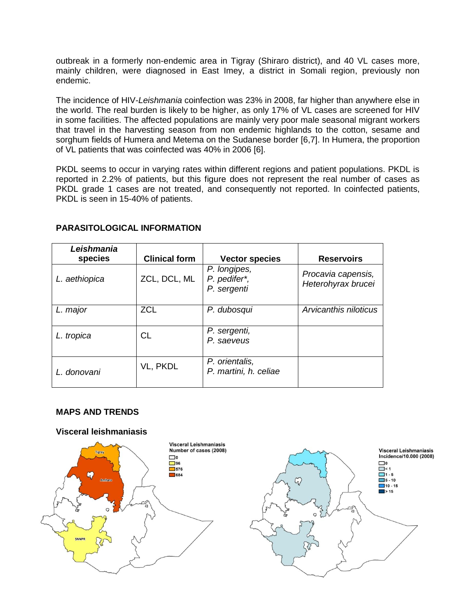outbreak in a formerly non-endemic area in Tigray (Shiraro district), and 40 VL cases more, mainly children, were diagnosed in East Imey, a district in Somali region, previously non endemic.

The incidence of HIV-*Leishmania* coinfection was 23% in 2008, far higher than anywhere else in the world. The real burden is likely to be higher, as only 17% of VL cases are screened for HIV in some facilities. The affected populations are mainly very poor male seasonal migrant workers that travel in the harvesting season from non endemic highlands to the cotton, sesame and sorghum fields of Humera and Metema on the Sudanese border [6,7]. In Humera, the proportion of VL patients that was coinfected was 40% in 2006 [6].

PKDL seems to occur in varying rates within different regions and patient populations. PKDL is reported in 2.2% of patients, but this figure does not represent the real number of cases as PKDL grade 1 cases are not treated, and consequently not reported. In coinfected patients, PKDL is seen in 15-40% of patients.

| Leishmania<br>species | <b>Clinical form</b> | <b>Vector species</b>                       | <b>Reservoirs</b>                        |
|-----------------------|----------------------|---------------------------------------------|------------------------------------------|
| L. aethiopica         | ZCL, DCL, ML         | P. longipes,<br>P. pedifer*,<br>P. sergenti | Procavia capensis,<br>Heterohyrax brucei |
| L. major              | <b>ZCL</b>           | P. dubosqui                                 | Arvicanthis niloticus                    |
| L. tropica            | CL.                  | P. sergenti,<br>P. saeveus                  |                                          |
| L. donovani           | VL, PKDL             | P. orientalis,<br>P. martini, h. celiae     |                                          |

## **PARASITOLOGICAL INFORMATION**

## **MAPS AND TRENDS**

#### **Visceral leishmaniasis**



**Visceral Leishmaniasis** Incidence/10.000 (2008)  $\Box$  $\n < 1$  $\Box$ 1 - 5  $5 - 10$  $10 - 15$  $\blacktriangleright$  15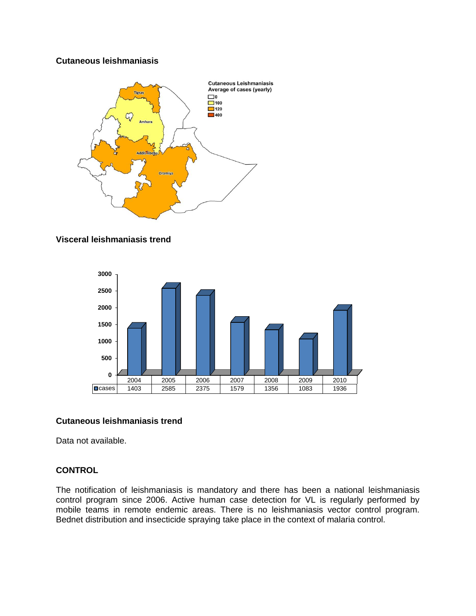#### **Cutaneous leishmaniasis**



#### **Visceral leishmaniasis trend**



## **Cutaneous leishmaniasis trend**

Data not available.

## **CONTROL**

The notification of leishmaniasis is mandatory and there has been a national leishmaniasis control program since 2006. Active human case detection for VL is regularly performed by mobile teams in remote endemic areas. There is no leishmaniasis vector control program. Bednet distribution and insecticide spraying take place in the context of malaria control.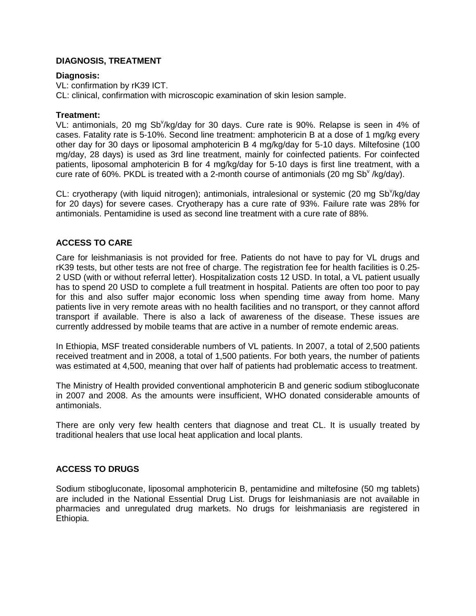## **DIAGNOSIS, TREATMENT**

#### **Diagnosis:**

VL: confirmation by rK39 ICT. CL: clinical, confirmation with microscopic examination of skin lesion sample.

#### **Treatment:**

VL: antimonials, 20 mg Sb<sup>v</sup>/kg/day for 30 days. Cure rate is 90%. Relapse is seen in 4% of cases. Fatality rate is 5-10%. Second line treatment: amphotericin B at a dose of 1 mg/kg every other day for 30 days or liposomal amphotericin B 4 mg/kg/day for 5-10 days. Miltefosine (100 mg/day, 28 days) is used as 3rd line treatment, mainly for coinfected patients. For coinfected patients, liposomal amphotericin B for 4 mg/kg/day for 5-10 days is first line treatment, with a cure rate of 60%. PKDL is treated with a 2-month course of antimonials (20 mg Sb<sup>v</sup> /kg/day).

CL: cryotherapy (with liquid nitrogen); antimonials, intralesional or systemic (20 mg Sb<sup>v</sup>/kg/day for 20 days) for severe cases. Cryotherapy has a cure rate of 93%. Failure rate was 28% for antimonials. Pentamidine is used as second line treatment with a cure rate of 88%.

## **ACCESS TO CARE**

Care for leishmaniasis is not provided for free. Patients do not have to pay for VL drugs and rK39 tests, but other tests are not free of charge. The registration fee for health facilities is 0.25- 2 USD (with or without referral letter). Hospitalization costs 12 USD. In total, a VL patient usually has to spend 20 USD to complete a full treatment in hospital. Patients are often too poor to pay for this and also suffer major economic loss when spending time away from home. Many patients live in very remote areas with no health facilities and no transport, or they cannot afford transport if available. There is also a lack of awareness of the disease. These issues are currently addressed by mobile teams that are active in a number of remote endemic areas.

In Ethiopia, MSF treated considerable numbers of VL patients. In 2007, a total of 2,500 patients received treatment and in 2008, a total of 1,500 patients. For both years, the number of patients was estimated at 4,500, meaning that over half of patients had problematic access to treatment.

The Ministry of Health provided conventional amphotericin B and generic sodium stibogluconate in 2007 and 2008. As the amounts were insufficient, WHO donated considerable amounts of antimonials.

There are only very few health centers that diagnose and treat CL. It is usually treated by traditional healers that use local heat application and local plants.

## **ACCESS TO DRUGS**

Sodium stibogluconate, liposomal amphotericin B, pentamidine and miltefosine (50 mg tablets) are included in the National Essential Drug List. Drugs for leishmaniasis are not available in pharmacies and unregulated drug markets. No drugs for leishmaniasis are registered in Ethiopia.